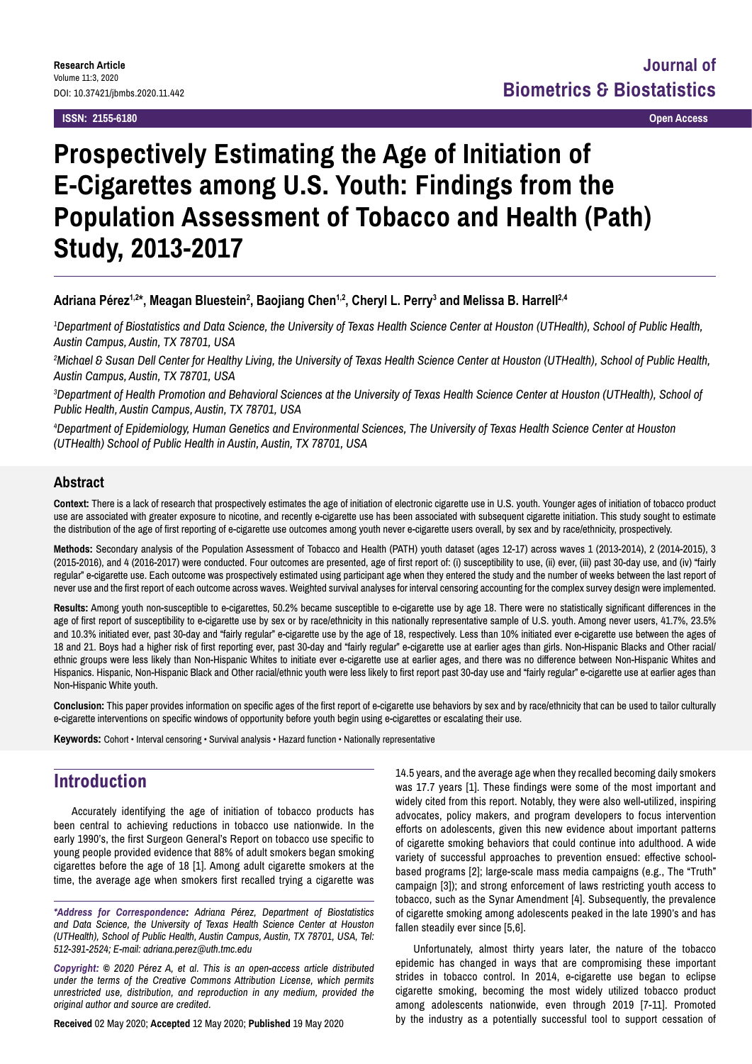**ISSN: 2155-6180 Open Access**

# **Prospectively Estimating the Age of Initiation of E-Cigarettes among U.S. Youth: Findings from the Population Assessment of Tobacco and Health (Path) Study, 2013-2017**

#### **Adriana Pérez1,2\*, Meagan Bluestein2 , Baojiang Chen1,2, Cheryl L. Perry3 and Melissa B. Harrell2,4**

*1 Department of Biostatistics and Data Science, the University of Texas Health Science Center at Houston (UTHealth), School of Public Health, Austin Campus, Austin, TX 78701, USA*

*2 Michael & Susan Dell Center for Healthy Living, the University of Texas Health Science Center at Houston (UTHealth), School of Public Health, Austin Campus, Austin, TX 78701, USA*

<sup>3</sup>Department of Health Promotion and Behavioral Sciences at the University of Texas Health Science Center at Houston (UTHealth), School of *Public Health, Austin Campus, Austin, TX 78701, USA*

*4 Department of Epidemiology, Human Genetics and Environmental Sciences, The University of Texas Health Science Center at Houston (UTHealth) School of Public Health in Austin, Austin, TX 78701, USA*

#### **Abstract**

**Context:** There is a lack of research that prospectively estimates the age of initiation of electronic cigarette use in U.S. youth. Younger ages of initiation of tobacco product use are associated with greater exposure to nicotine, and recently e-cigarette use has been associated with subsequent cigarette initiation. This study sought to estimate the distribution of the age of first reporting of e-cigarette use outcomes among youth never e-cigarette users overall, by sex and by race/ethnicity, prospectively.

**Methods:** Secondary analysis of the Population Assessment of Tobacco and Health (PATH) youth dataset (ages 12-17) across waves 1 (2013-2014), 2 (2014-2015), 3 (2015-2016), and 4 (2016-2017) were conducted. Four outcomes are presented, age of first report of: (i) susceptibility to use, (ii) ever, (iii) past 30-day use, and (iv) "fairly regular" e-cigarette use. Each outcome was prospectively estimated using participant age when they entered the study and the number of weeks between the last report of never use and the first report of each outcome across waves. Weighted survival analyses for interval censoring accounting for the complex survey design were implemented.

**Results:** Among youth non-susceptible to e-cigarettes, 50.2% became susceptible to e-cigarette use by age 18. There were no statistically significant differences in the age of first report of susceptibility to e-cigarette use by sex or by race/ethnicity in this nationally representative sample of U.S. youth. Among never users, 41.7%, 23.5% and 10.3% initiated ever, past 30-day and "fairly regular" e-cigarette use by the age of 18, respectively. Less than 10% initiated ever e-cigarette use between the ages of 18 and 21. Boys had a higher risk of first reporting ever, past 30-day and "fairly regular" e-cigarette use at earlier ages than girls. Non-Hispanic Blacks and Other racial/ ethnic groups were less likely than Non-Hispanic Whites to initiate ever e-cigarette use at earlier ages, and there was no difference between Non-Hispanic Whites and Hispanics. Hispanic, Non-Hispanic Black and Other racial/ethnic youth were less likely to first report past 30-day use and "fairly regular" e-cigarette use at earlier ages than Non-Hispanic White youth.

**Conclusion:** This paper provides information on specific ages of the first report of e-cigarette use behaviors by sex and by race/ethnicity that can be used to tailor culturally e-cigarette interventions on specific windows of opportunity before youth begin using e-cigarettes or escalating their use.

**Keywords:** Cohort • Interval censoring • Survival analysis • Hazard function • Nationally representative

# **Introduction**

Accurately identifying the age of initiation of tobacco products has been central to achieving reductions in tobacco use nationwide. In the early 1990's, the first Surgeon General's Report on tobacco use specific to young people provided evidence that 88% of adult smokers began smoking cigarettes before the age of 18 [1]. Among adult cigarette smokers at the time, the average age when smokers first recalled trying a cigarette was

*\*Address for Correspondence: Adriana Pérez, Department of Biostatistics and Data Science, the University of Texas Health Science Center at Houston (UTHealth), School of Public Health, Austin Campus, Austin, TX 78701, USA, Tel: 512-391-2524; E-mail: [adriana.perez@uth.tmc.edu](mailto:adriana.perez@uth.tmc.edu)*

*Copyright: © 2020 Pérez A, et al. This is an open-access article distributed under the terms of the Creative Commons Attribution License, which permits unrestricted use, distribution, and reproduction in any medium, provided the original author and source are credited.*

**Received** 02 May 2020; **Accepted** 12 May 2020; **Published** 19 May 2020

14.5 years, and the average age when they recalled becoming daily smokers was 17.7 years [1]. These findings were some of the most important and widely cited from this report. Notably, they were also well-utilized, inspiring advocates, policy makers, and program developers to focus intervention efforts on adolescents, given this new evidence about important patterns of cigarette smoking behaviors that could continue into adulthood. A wide variety of successful approaches to prevention ensued: effective schoolbased programs [2]; large-scale mass media campaigns (e.g., The "Truth" campaign [3]); and strong enforcement of laws restricting youth access to tobacco, such as the Synar Amendment [4]. Subsequently, the prevalence of cigarette smoking among adolescents peaked in the late 1990's and has fallen steadily ever since [5,6].

Unfortunately, almost thirty years later, the nature of the tobacco epidemic has changed in ways that are compromising these important strides in tobacco control. In 2014, e-cigarette use began to eclipse cigarette smoking, becoming the most widely utilized tobacco product among adolescents nationwide, even through 2019 [7-11]. Promoted by the industry as a potentially successful tool to support cessation of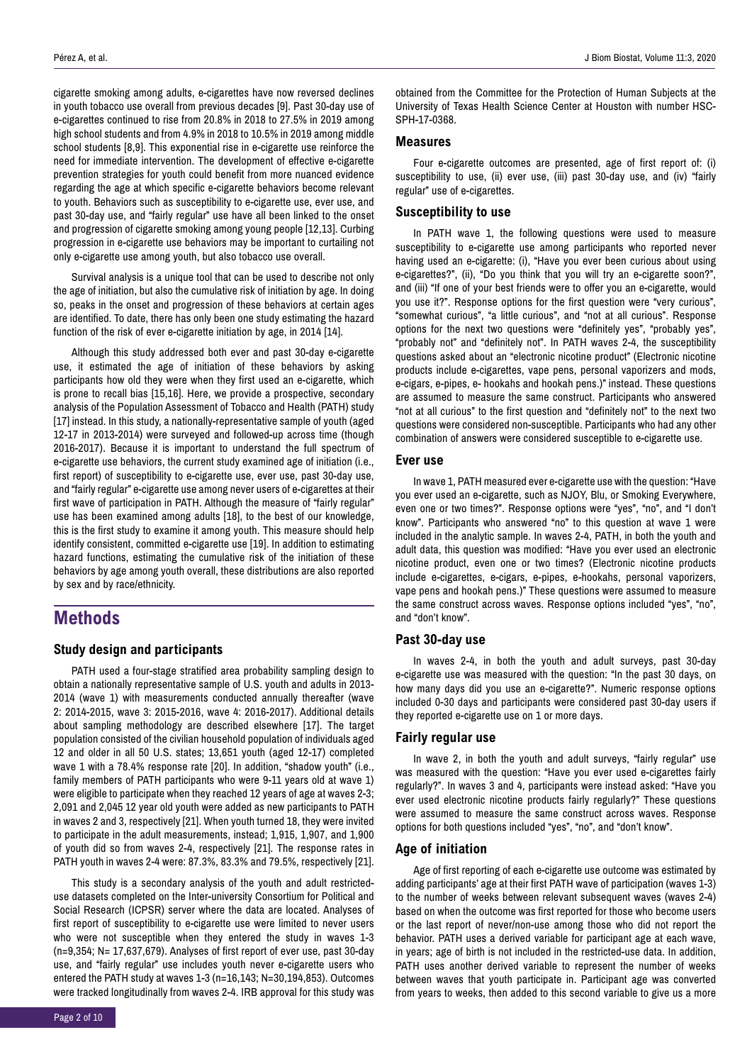cigarette smoking among adults, e-cigarettes have now reversed declines in youth tobacco use overall from previous decades [9]. Past 30-day use of e-cigarettes continued to rise from 20.8% in 2018 to 27.5% in 2019 among high school students and from 4.9% in 2018 to 10.5% in 2019 among middle school students [8,9]. This exponential rise in e-cigarette use reinforce the need for immediate intervention. The development of effective e-cigarette prevention strategies for youth could benefit from more nuanced evidence regarding the age at which specific e-cigarette behaviors become relevant to youth. Behaviors such as susceptibility to e-cigarette use, ever use, and past 30-day use, and "fairly regular" use have all been linked to the onset and progression of cigarette smoking among young people [12,13]. Curbing progression in e-cigarette use behaviors may be important to curtailing not only e-cigarette use among youth, but also tobacco use overall.

Survival analysis is a unique tool that can be used to describe not only the age of initiation, but also the cumulative risk of initiation by age. In doing so, peaks in the onset and progression of these behaviors at certain ages are identified. To date, there has only been one study estimating the hazard function of the risk of ever e-cigarette initiation by age, in 2014 [14].

Although this study addressed both ever and past 30-day e-cigarette use, it estimated the age of initiation of these behaviors by asking participants how old they were when they first used an e-cigarette, which is prone to recall bias [15,16]. Here, we provide a prospective, secondary analysis of the Population Assessment of Tobacco and Health (PATH) study [17] instead. In this study, a nationally-representative sample of youth (aged 12-17 in 2013-2014) were surveyed and followed-up across time (though 2016-2017). Because it is important to understand the full spectrum of e-cigarette use behaviors, the current study examined age of initiation (i.e., first report) of susceptibility to e-cigarette use, ever use, past 30-day use, and "fairly regular" e-cigarette use among never users of e-cigarettes at their first wave of participation in PATH. Although the measure of "fairly regular" use has been examined among adults [18], to the best of our knowledge, this is the first study to examine it among youth. This measure should help identify consistent, committed e-cigarette use [19]. In addition to estimating hazard functions, estimating the cumulative risk of the initiation of these behaviors by age among youth overall, these distributions are also reported by sex and by race/ethnicity.

# **Methods**

#### **Study design and participants**

PATH used a four-stage stratified area probability sampling design to obtain a nationally representative sample of U.S. youth and adults in 2013- 2014 (wave 1) with measurements conducted annually thereafter (wave 2: 2014-2015, wave 3: 2015-2016, wave 4: 2016-2017). Additional details about sampling methodology are described elsewhere [17]. The target population consisted of the civilian household population of individuals aged 12 and older in all 50 U.S. states; 13,651 youth (aged 12-17) completed wave 1 with a 78.4% response rate [20]. In addition, "shadow youth" (i.e., family members of PATH participants who were 9-11 years old at wave 1) were eligible to participate when they reached 12 years of age at waves 2-3; 2,091 and 2,045 12 year old youth were added as new participants to PATH in waves 2 and 3, respectively [21]. When youth turned 18, they were invited to participate in the adult measurements, instead; 1,915, 1,907, and 1,900 of youth did so from waves 2-4, respectively [21]. The response rates in PATH youth in waves 2-4 were: 87.3%, 83.3% and 79.5%, respectively [21].

This study is a secondary analysis of the youth and adult restricteduse datasets completed on the Inter-university Consortium for Political and Social Research (ICPSR) server where the data are located. Analyses of first report of susceptibility to e-cigarette use were limited to never users who were not susceptible when they entered the study in waves 1-3 (n=9,354; N= 17,637,679). Analyses of first report of ever use, past 30-day use, and "fairly regular" use includes youth never e-cigarette users who entered the PATH study at waves 1-3 (n=16,143; N=30,194,853). Outcomes were tracked longitudinally from waves 2-4. IRB approval for this study was obtained from the Committee for the Protection of Human Subjects at the University of Texas Health Science Center at Houston with number HSC-SPH-17-0368.

#### **Measures**

Four e-cigarette outcomes are presented, age of first report of: (i) susceptibility to use, (ii) ever use, (iii) past 30-day use, and (iv) "fairly regular" use of e-cigarettes.

#### **Susceptibility to use**

In PATH wave 1, the following questions were used to measure susceptibility to e-cigarette use among participants who reported never having used an e-cigarette: (i), "Have you ever been curious about using e-cigarettes?", (ii), "Do you think that you will try an e-cigarette soon?", and (iii) "If one of your best friends were to offer you an e-cigarette, would you use it?". Response options for the first question were "very curious", "somewhat curious", "a little curious", and "not at all curious". Response options for the next two questions were "definitely yes", "probably yes", "probably not" and "definitely not". In PATH waves 2-4, the susceptibility questions asked about an "electronic nicotine product" (Electronic nicotine products include e-cigarettes, vape pens, personal vaporizers and mods, e-cigars, e-pipes, e- hookahs and hookah pens.)" instead. These questions are assumed to measure the same construct. Participants who answered "not at all curious" to the first question and "definitely not" to the next two questions were considered non-susceptible. Participants who had any other combination of answers were considered susceptible to e-cigarette use.

#### **Ever use**

In wave 1, PATH measured ever e-cigarette use with the question: "Have you ever used an e-cigarette, such as NJOY, Blu, or Smoking Everywhere, even one or two times?". Response options were "yes", "no", and "I don't know". Participants who answered "no" to this question at wave 1 were included in the analytic sample. In waves 2-4, PATH, in both the youth and adult data, this question was modified: "Have you ever used an electronic nicotine product, even one or two times? (Electronic nicotine products include e-cigarettes, e-cigars, e-pipes, e-hookahs, personal vaporizers, vape pens and hookah pens.)" These questions were assumed to measure the same construct across waves. Response options included "yes", "no", and "don't know".

#### **Past 30-day use**

In waves 2-4, in both the youth and adult surveys, past 30-day e-cigarette use was measured with the question: "In the past 30 days, on how many days did you use an e-cigarette?". Numeric response options included 0-30 days and participants were considered past 30-day users if they reported e-cigarette use on 1 or more days.

#### **Fairly regular use**

In wave 2, in both the youth and adult surveys, "fairly regular" use was measured with the question: "Have you ever used e-cigarettes fairly regularly?". In waves 3 and 4, participants were instead asked: "Have you ever used electronic nicotine products fairly regularly?" These questions were assumed to measure the same construct across waves. Response options for both questions included "yes", "no", and "don't know".

#### **Age of initiation**

Age of first reporting of each e-cigarette use outcome was estimated by adding participants' age at their first PATH wave of participation (waves 1-3) to the number of weeks between relevant subsequent waves (waves 2-4) based on when the outcome was first reported for those who become users or the last report of never/non-use among those who did not report the behavior. PATH uses a derived variable for participant age at each wave, in years; age of birth is not included in the restricted-use data. In addition, PATH uses another derived variable to represent the number of weeks between waves that youth participate in. Participant age was converted from years to weeks, then added to this second variable to give us a more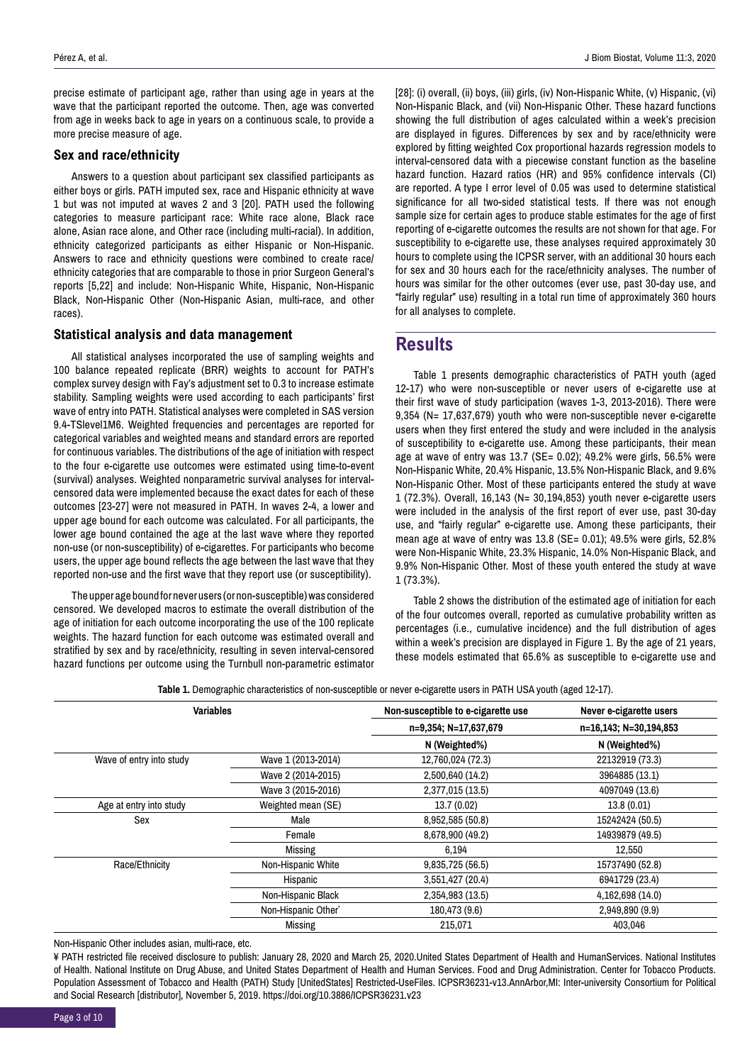precise estimate of participant age, rather than using age in years at the wave that the participant reported the outcome. Then, age was converted from age in weeks back to age in years on a continuous scale, to provide a more precise measure of age.

#### **Sex and race/ethnicity**

Answers to a question about participant sex classified participants as either boys or girls. PATH imputed sex, race and Hispanic ethnicity at wave 1 but was not imputed at waves 2 and 3 [20]. PATH used the following categories to measure participant race: White race alone, Black race alone, Asian race alone, and Other race (including multi-racial). In addition, ethnicity categorized participants as either Hispanic or Non-Hispanic. Answers to race and ethnicity questions were combined to create race/ ethnicity categories that are comparable to those in prior Surgeon General's reports [5,22] and include: Non-Hispanic White, Hispanic, Non-Hispanic Black, Non-Hispanic Other (Non-Hispanic Asian, multi-race, and other races).

#### **Statistical analysis and data management**

All statistical analyses incorporated the use of sampling weights and 100 balance repeated replicate (BRR) weights to account for PATH's complex survey design with Fay's adjustment set to 0.3 to increase estimate stability. Sampling weights were used according to each participants' first wave of entry into PATH. Statistical analyses were completed in SAS version 9.4-TSlevel1M6. Weighted frequencies and percentages are reported for categorical variables and weighted means and standard errors are reported for continuous variables. The distributions of the age of initiation with respect to the four e-cigarette use outcomes were estimated using time-to-event (survival) analyses. Weighted nonparametric survival analyses for intervalcensored data were implemented because the exact dates for each of these outcomes [23-27] were not measured in PATH. In waves 2-4, a lower and upper age bound for each outcome was calculated. For all participants, the lower age bound contained the age at the last wave where they reported non-use (or non-susceptibility) of e-cigarettes. For participants who become users, the upper age bound reflects the age between the last wave that they reported non-use and the first wave that they report use (or susceptibility).

The upper age bound for never users (or non-susceptible) was considered censored. We developed macros to estimate the overall distribution of the age of initiation for each outcome incorporating the use of the 100 replicate weights. The hazard function for each outcome was estimated overall and stratified by sex and by race/ethnicity, resulting in seven interval-censored hazard functions per outcome using the Turnbull non-parametric estimator

[28]: (i) overall, (ii) boys, (iii) girls, (iv) Non-Hispanic White, (v) Hispanic, (vi) Non-Hispanic Black, and (vii) Non-Hispanic Other. These hazard functions showing the full distribution of ages calculated within a week's precision are displayed in figures. Differences by sex and by race/ethnicity were explored by fitting weighted Cox proportional hazards regression models to interval-censored data with a piecewise constant function as the baseline hazard function. Hazard ratios (HR) and 95% confidence intervals (CI) are reported. A type I error level of 0.05 was used to determine statistical significance for all two-sided statistical tests. If there was not enough sample size for certain ages to produce stable estimates for the age of first reporting of e-cigarette outcomes the results are not shown for that age. For susceptibility to e-cigarette use, these analyses required approximately 30 hours to complete using the ICPSR server, with an additional 30 hours each for sex and 30 hours each for the race/ethnicity analyses. The number of hours was similar for the other outcomes (ever use, past 30-day use, and "fairly regular" use) resulting in a total run time of approximately 360 hours for all analyses to complete.

### **Results**

Table 1 presents demographic characteristics of PATH youth (aged 12-17) who were non-susceptible or never users of e-cigarette use at their first wave of study participation (waves 1-3, 2013-2016). There were 9,354 (N= 17,637,679) youth who were non-susceptible never e-cigarette users when they first entered the study and were included in the analysis of susceptibility to e-cigarette use. Among these participants, their mean age at wave of entry was 13.7 (SE= 0.02); 49.2% were girls, 56.5% were Non-Hispanic White, 20.4% Hispanic, 13.5% Non-Hispanic Black, and 9.6% Non-Hispanic Other. Most of these participants entered the study at wave 1 (72.3%). Overall, 16,143 (N= 30,194,853) youth never e-cigarette users were included in the analysis of the first report of ever use, past 30-day use, and "fairly regular" e-cigarette use. Among these participants, their mean age at wave of entry was 13.8 (SE= 0.01); 49.5% were girls, 52.8% were Non-Hispanic White, 23.3% Hispanic, 14.0% Non-Hispanic Black, and 9.9% Non-Hispanic Other. Most of these youth entered the study at wave 1 (73.3%).

Table 2 shows the distribution of the estimated age of initiation for each of the four outcomes overall, reported as cumulative probability written as percentages (i.e., cumulative incidence) and the full distribution of ages within a week's precision are displayed in Figure 1. By the age of 21 years, these models estimated that 65.6% as susceptible to e-cigarette use and

**Table 1.** Demographic characteristics of non-susceptible or never e-cigarette users in PATH USA youth (aged 12-17).

| <b>Variables</b>         |                                 | Non-susceptible to e-cigarette use | Never e-cigarette users<br>n=16,143; N=30,194,853 |  |
|--------------------------|---------------------------------|------------------------------------|---------------------------------------------------|--|
|                          |                                 | n=9,354; N=17,637,679              |                                                   |  |
|                          |                                 | N (Weighted%)                      | N (Weighted%)                                     |  |
| Wave of entry into study | Wave 1 (2013-2014)              | 12,760,024 (72.3)                  | 22132919 (73.3)                                   |  |
|                          | Wave 2 (2014-2015)              | 2,500,640 (14.2)                   | 3964885 (13.1)                                    |  |
|                          | Wave 3 (2015-2016)              | 2,377,015 (13.5)                   | 4097049 (13.6)                                    |  |
| Age at entry into study  | Weighted mean (SE)              | 13.7 (0.02)                        | 13.8(0.01)                                        |  |
| Sex                      | Male                            | 8,952,585 (50.8)                   | 15242424 (50.5)                                   |  |
|                          | Female                          | 8,678,900 (49.2)                   | 14939879 (49.5)                                   |  |
|                          | Missing                         | 6.194                              | 12,550                                            |  |
| Race/Ethnicity           | Non-Hispanic White              | 9,835,725 (56.5)                   | 15737490 (52.8)                                   |  |
|                          | Hispanic                        | 3,551,427 (20.4)                   | 6941729 (23.4)                                    |  |
|                          | Non-Hispanic Black              | 2,354,983 (13.5)                   | 4,162,698 (14.0)                                  |  |
|                          | Non-Hispanic Other <sup>*</sup> | 180,473 (9.6)                      | 2,949,890 (9.9)                                   |  |
|                          | Missing                         | 215,071                            | 403,046                                           |  |

Non-Hispanic Other includes asian, multi-race, etc.

¥ PATH restricted file received disclosure to publish: January 28, 2020 and March 25, 2020.United States Department of Health and HumanServices. National Institutes of Health. National Institute on Drug Abuse, and United States Department of Health and Human Services. Food and Drug Administration. Center for Tobacco Products. Population Assessment of Tobacco and Health (PATH) Study [UnitedStates] Restricted-UseFiles. ICPSR36231-v13.AnnArbor,MI: Inter-university Consortium for Political and Social Research [distributor], November 5, 2019.<https://doi.org/10.3886/ICPSR36231.v23>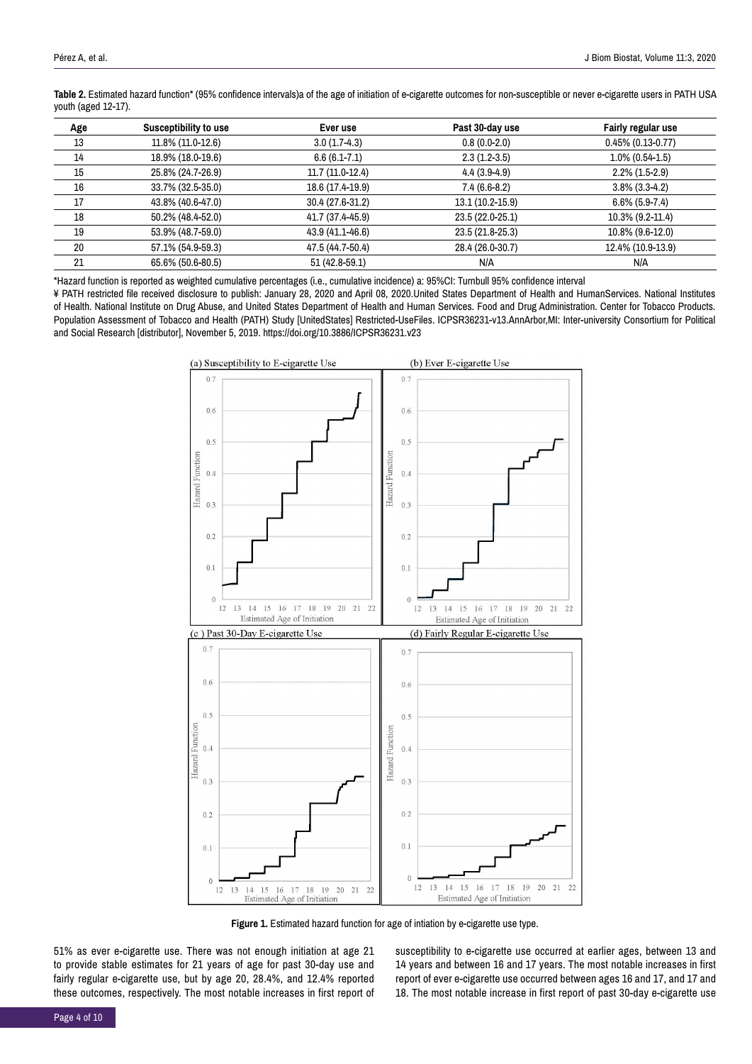**Table 2.** Estimated hazard function\* (95% confidence intervals)a of the age of initiation of e-cigarette outcomes for non-susceptible or never e-cigarette users in PATH USA youth (aged 12-17).

| Age | Susceptibility to use | Ever use         | Past 30-day use  | <b>Fairly regular use</b> |
|-----|-----------------------|------------------|------------------|---------------------------|
| 13  | 11.8% (11.0-12.6)     | $3.0(1.7-4.3)$   | $0.8(0.0-2.0)$   | $0.45\%$ (0.13-0.77)      |
| 14  | 18.9% (18.0-19.6)     | $6.6(6.1 - 7.1)$ | $2.3(1.2-3.5)$   | $1.0\%$ (0.54-1.5)        |
| 15  | 25.8% (24.7-26.9)     | 11.7 (11.0-12.4) | $4.4(3.9-4.9)$   | $2.2\%$ (1.5-2.9)         |
| 16  | 33.7% (32.5-35.0)     | 18.6 (17.4-19.9) | $7.4(6.6-8.2)$   | $3.8\%$ (3.3-4.2)         |
| 17  | 43.8% (40.6-47.0)     | 30.4 (27.6-31.2) | 13.1 (10.2-15.9) | $6.6\%$ (5.9-7.4)         |
| 18  | 50.2% (48.4-52.0)     | 41.7 (37.4-45.9) | 23.5 (22.0-25.1) | 10.3% (9.2-11.4)          |
| 19  | 53.9% (48.7-59.0)     | 43.9 (41.1-46.6) | 23.5 (21.8-25.3) | 10.8% (9.6-12.0)          |
| 20  | 57.1% (54.9-59.3)     | 47.5 (44.7-50.4) | 28.4 (26.0-30.7) | 12.4% (10.9-13.9)         |
| 21  | 65.6% (50.6-80.5)     | 51 (42.8-59.1)   | N/A              | N/A                       |

\*Hazard function is reported as weighted cumulative percentages (i.e., cumulative incidence) a: 95%CI: Turnbull 95% confidence interval

¥ PATH restricted file received disclosure to publish: January 28, 2020 and April 08, 2020.United States Department of Health and HumanServices. National Institutes of Health. National Institute on Drug Abuse, and United States Department of Health and Human Services. Food and Drug Administration. Center for Tobacco Products. Population Assessment of Tobacco and Health (PATH) Study [UnitedStates] Restricted-UseFiles. ICPSR36231-v13.AnnArbor,MI: Inter-university Consortium for Political and Social Research [distributor], November 5, 2019.<https://doi.org/10.3886/ICPSR36231.v23>



**Figure 1.** Estimated hazard function for age of intiation by e-cigarette use type.

51% as ever e-cigarette use. There was not enough initiation at age 21 to provide stable estimates for 21 years of age for past 30-day use and fairly regular e-cigarette use, but by age 20, 28.4%, and 12.4% reported these outcomes, respectively. The most notable increases in first report of susceptibility to e-cigarette use occurred at earlier ages, between 13 and 14 years and between 16 and 17 years. The most notable increases in first report of ever e-cigarette use occurred between ages 16 and 17, and 17 and 18. The most notable increase in first report of past 30-day e-cigarette use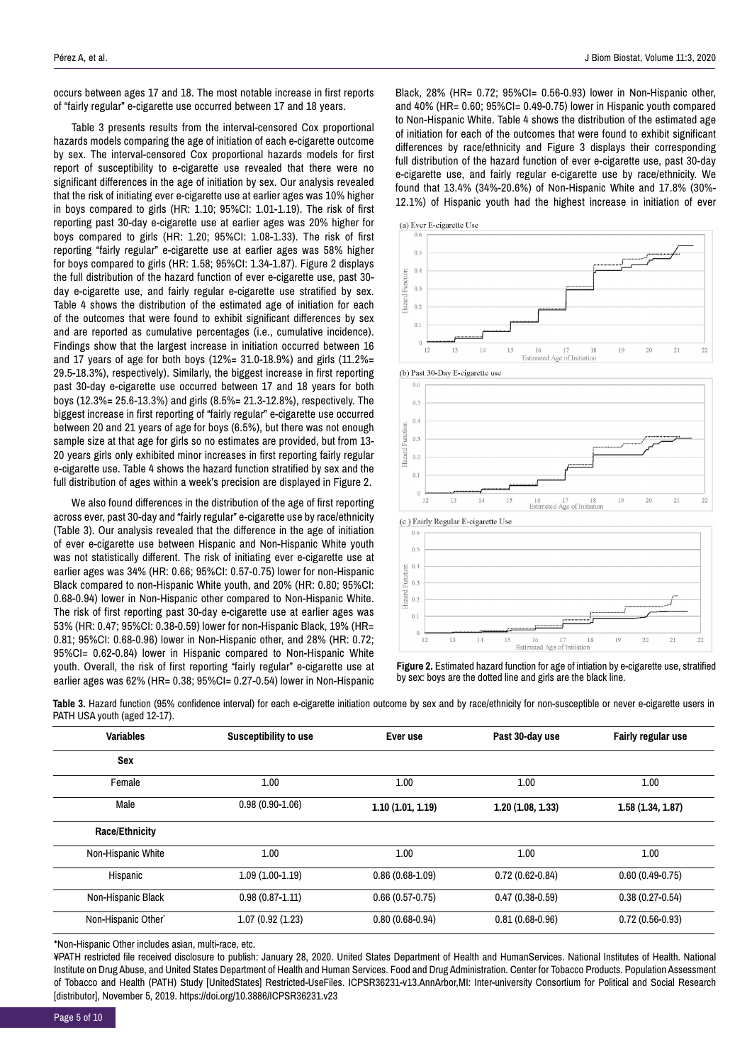occurs between ages 17 and 18. The most notable increase in first reports of "fairly regular" e-cigarette use occurred between 17 and 18 years.

Table 3 presents results from the interval-censored Cox proportional hazards models comparing the age of initiation of each e-cigarette outcome by sex. The interval-censored Cox proportional hazards models for first report of susceptibility to e-cigarette use revealed that there were no significant differences in the age of initiation by sex. Our analysis revealed that the risk of initiating ever e-cigarette use at earlier ages was 10% higher in boys compared to girls (HR: 1.10; 95%CI: 1.01-1.19). The risk of first reporting past 30-day e-cigarette use at earlier ages was 20% higher for boys compared to girls (HR: 1.20; 95%CI: 1.08-1.33). The risk of first reporting "fairly regular" e-cigarette use at earlier ages was 58% higher for boys compared to girls (HR: 1.58; 95%CI: 1.34-1.87). Figure 2 displays the full distribution of the hazard function of ever e-cigarette use, past 30 day e-cigarette use, and fairly regular e-cigarette use stratified by sex. Table 4 shows the distribution of the estimated age of initiation for each of the outcomes that were found to exhibit significant differences by sex and are reported as cumulative percentages (i.e., cumulative incidence). Findings show that the largest increase in initiation occurred between 16 and 17 years of age for both boys (12%= 31.0-18.9%) and girls (11.2%= 29.5-18.3%), respectively). Similarly, the biggest increase in first reporting past 30-day e-cigarette use occurred between 17 and 18 years for both boys (12.3%= 25.6-13.3%) and girls (8.5%= 21.3-12.8%), respectively. The biggest increase in first reporting of "fairly regular" e-cigarette use occurred between 20 and 21 years of age for boys (6.5%), but there was not enough sample size at that age for girls so no estimates are provided, but from 13- 20 years girls only exhibited minor increases in first reporting fairly regular e-cigarette use. Table 4 shows the hazard function stratified by sex and the full distribution of ages within a week's precision are displayed in Figure 2.

We also found differences in the distribution of the age of first reporting across ever, past 30-day and "fairly regular" e-cigarette use by race/ethnicity (Table 3). Our analysis revealed that the difference in the age of initiation of ever e-cigarette use between Hispanic and Non-Hispanic White youth was not statistically different. The risk of initiating ever e-cigarette use at earlier ages was 34% (HR: 0.66; 95%CI: 0.57-0.75) lower for non-Hispanic Black compared to non-Hispanic White youth, and 20% (HR: 0.80; 95%CI: 0.68-0.94) lower in Non-Hispanic other compared to Non-Hispanic White. The risk of first reporting past 30-day e-cigarette use at earlier ages was 53% (HR: 0.47; 95%CI: 0.38-0.59) lower for non-Hispanic Black, 19% (HR= 0.81; 95%CI: 0.68-0.96) lower in Non-Hispanic other, and 28% (HR: 0.72; 95%CI= 0.62-0.84) lower in Hispanic compared to Non-Hispanic White youth. Overall, the risk of first reporting "fairly regular" e-cigarette use at earlier ages was 62% (HR= 0.38; 95%CI= 0.27-0.54) lower in Non-Hispanic Black, 28% (HR= 0.72; 95%CI= 0.56-0.93) lower in Non-Hispanic other, and 40% (HR= 0.60; 95%CI= 0.49-0.75) lower in Hispanic youth compared to Non-Hispanic White. Table 4 shows the distribution of the estimated age of initiation for each of the outcomes that were found to exhibit significant differences by race/ethnicity and Figure 3 displays their corresponding full distribution of the hazard function of ever e-cigarette use, past 30-day e-cigarette use, and fairly regular e-cigarette use by race/ethnicity. We found that 13.4% (34%-20.6%) of Non-Hispanic White and 17.8% (30%- 12.1%) of Hispanic youth had the highest increase in initiation of ever









**Figure 2.** Estimated hazard function for age of intiation by e-cigarette use, stratified by sex: boys are the dotted line and girls are the black line.

Table 3. Hazard function (95% confidence interval) for each e-cigarette initiation outcome by sex and by race/ethnicity for non-susceptible or never e-cigarette users in PATH USA youth (aged 12-17).

| <b>Variables</b>                | Susceptibility to use | Ever use            | Past 30-day use     | <b>Fairly regular use</b> |
|---------------------------------|-----------------------|---------------------|---------------------|---------------------------|
| <b>Sex</b>                      |                       |                     |                     |                           |
| Female                          | 1.00                  | 1.00                | 1.00                | 1.00                      |
| Male                            | $0.98(0.90 - 1.06)$   | 1.10(1.01, 1.19)    | 1.20(1.08, 1.33)    | 1.58(1.34, 1.87)          |
| <b>Race/Ethnicity</b>           |                       |                     |                     |                           |
| Non-Hispanic White              | 1.00                  | 1.00                | 1.00                | 1.00                      |
| Hispanic                        | $1.09(1.00-1.19)$     | $0.86(0.68-1.09)$   | $0.72(0.62 - 0.84)$ | $0.60(0.49-0.75)$         |
| Non-Hispanic Black              | $0.98(0.87 - 1.11)$   | $0.66(0.57-0.75)$   | $0.47(0.38-0.59)$   | $0.38(0.27 - 0.54)$       |
| Non-Hispanic Other <sup>*</sup> | 1.07(0.92(1.23))      | $0.80(0.68 - 0.94)$ | $0.81(0.68 - 0.96)$ | $0.72(0.56-0.93)$         |

\*Non-Hispanic Other includes asian, multi-race, etc.

¥PATH restricted file received disclosure to publish: January 28, 2020. United States Department of Health and HumanServices. National Institutes of Health. National Institute on Drug Abuse, and United States Department of Health and Human Services. Food and Drug Administration. Center for Tobacco Products. Population Assessment of Tobacco and Health (PATH) Study [UnitedStates] Restricted-UseFiles. ICPSR36231-v13.AnnArbor,MI: Inter-university Consortium for Political and Social Research [distributor], November 5, 2019.<https://doi.org/10.3886/ICPSR36231.v23>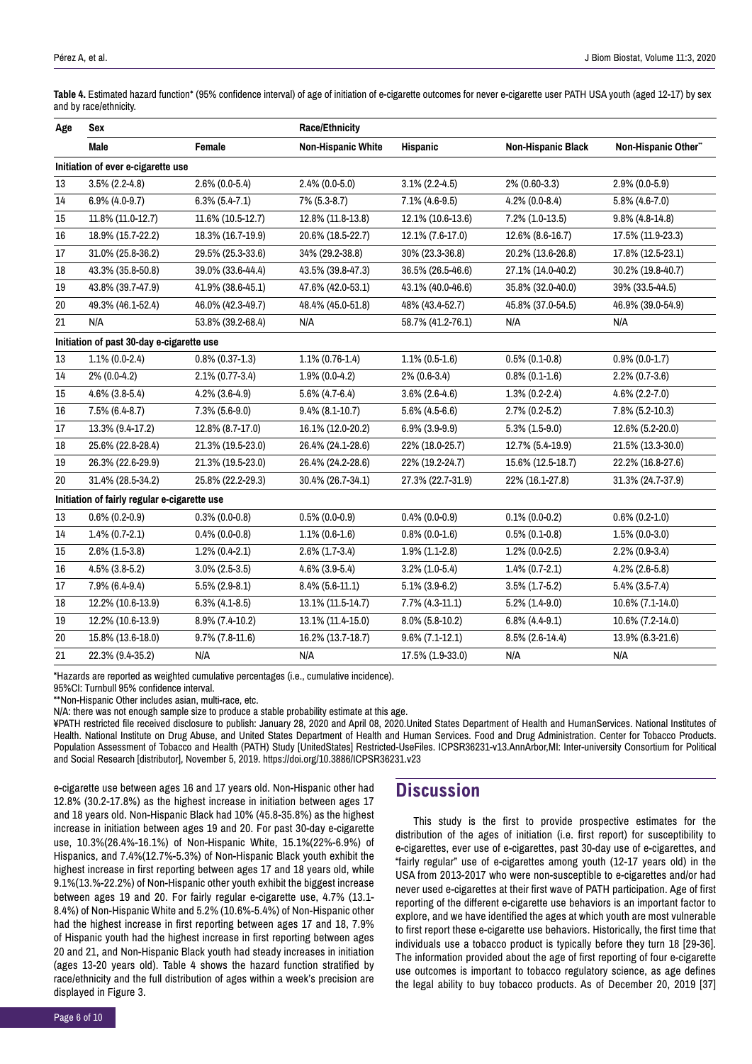**Table 4.** Estimated hazard function\* (95% confidence interval) of age of initiation of e-cigarette outcomes for never e-cigarette user PATH USA youth (aged 12-17) by sex and by race/ethnicity.

| Age                                          | <b>Sex</b>                         |                     | <b>Race/Ethnicity</b>     |                    |                           |                     |  |
|----------------------------------------------|------------------------------------|---------------------|---------------------------|--------------------|---------------------------|---------------------|--|
|                                              | Male                               | Female              | <b>Non-Hispanic White</b> | <b>Hispanic</b>    | <b>Non-Hispanic Black</b> | Non-Hispanic Other" |  |
|                                              | Initiation of ever e-cigarette use |                     |                           |                    |                           |                     |  |
| 13                                           | $3.5\%$ (2.2-4.8)                  | $2.6\%$ (0.0-5.4)   | $2.4\%$ (0.0-5.0)         | $3.1\%$ (2.2-4.5)  | 2% (0.60-3.3)             | $2.9\%$ (0.0-5.9)   |  |
| 14                                           | $6.9\%$ (4.0-9.7)                  | $6.3\%$ $(5.4-7.1)$ | 7% (5.3-8.7)              | $7.1\%$ (4.6-9.5)  | $4.2\%$ (0.0-8.4)         | $5.8\%$ (4.6-7.0)   |  |
| 15                                           | 11.8% (11.0-12.7)                  | 11.6% (10.5-12.7)   | 12.8% (11.8-13.8)         | 12.1% (10.6-13.6)  | 7.2% (1.0-13.5)           | $9.8\%$ (4.8-14.8)  |  |
| 16                                           | 18.9% (15.7-22.2)                  | 18.3% (16.7-19.9)   | 20.6% (18.5-22.7)         | 12.1% (7.6-17.0)   | 12.6% (8.6-16.7)          | 17.5% (11.9-23.3)   |  |
| $17\,$                                       | 31.0% (25.8-36.2)                  | 29.5% (25.3-33.6)   | 34% (29.2-38.8)           | 30% (23.3-36.8)    | 20.2% (13.6-26.8)         | 17.8% (12.5-23.1)   |  |
| 18                                           | 43.3% (35.8-50.8)                  | 39.0% (33.6-44.4)   | 43.5% (39.8-47.3)         | 36.5% (26.5-46.6)  | 27.1% (14.0-40.2)         | 30.2% (19.8-40.7)   |  |
| $19\,$                                       | 43.8% (39.7-47.9)                  | 41.9% (38.6-45.1)   | 47.6% (42.0-53.1)         | 43.1% (40.0-46.6)  | 35.8% (32.0-40.0)         | 39% (33.5-44.5)     |  |
| 20                                           | 49.3% (46.1-52.4)                  | 46.0% (42.3-49.7)   | 48.4% (45.0-51.8)         | 48% (43.4-52.7)    | 45.8% (37.0-54.5)         | 46.9% (39.0-54.9)   |  |
| 21                                           | N/A                                | 53.8% (39.2-68.4)   | N/A                       | 58.7% (41.2-76.1)  | N/A                       | N/A                 |  |
| Initiation of past 30-day e-cigarette use    |                                    |                     |                           |                    |                           |                     |  |
| $13\,$                                       | $1.1\%$ (0.0-2.4)                  | $0.8\%$ (0.37-1.3)  | $1.1\%$ (0.76-1.4)        | $1.1\%$ (0.5-1.6)  | $0.5\%$ (0.1-0.8)         | $0.9\%$ (0.0-1.7)   |  |
| 14                                           | $2\%$ (0.0-4.2)                    | 2.1% (0.77-3.4)     | $1.9\%$ (0.0-4.2)         | 2% (0.6-3.4)       | $0.8\%$ (0.1-1.6)         | $2.2\%$ (0.7-3.6)   |  |
| 15                                           | $4.6\%$ (3.8-5.4)                  | $4.2\%$ (3.6-4.9)   | $5.6\%$ (4.7-6.4)         | $3.6\%$ (2.6-4.6)  | $1.3\%$ (0.2-2.4)         | $4.6\%$ (2.2-7.0)   |  |
| 16                                           | $7.5\%$ (6.4-8.7)                  | $7.3\%$ (5.6-9.0)   | $9.4\%$ (8.1-10.7)        | $5.6\%$ (4.5-6.6)  | $2.7\%$ (0.2-5.2)         | $7.8\%$ (5.2-10.3)  |  |
| 17                                           | 13.3% (9.4-17.2)                   | 12.8% (8.7-17.0)    | 16.1% (12.0-20.2)         | $6.9\%$ (3.9-9.9)  | $5.3\%$ (1.5-9.0)         | 12.6% (5.2-20.0)    |  |
| 18                                           | 25.6% (22.8-28.4)                  | 21.3% (19.5-23.0)   | 26.4% (24.1-28.6)         | 22% (18.0-25.7)    | 12.7% (5.4-19.9)          | 21.5% (13.3-30.0)   |  |
| 19                                           | 26.3% (22.6-29.9)                  | 21.3% (19.5-23.0)   | 26.4% (24.2-28.6)         | 22% (19.2-24.7)    | 15.6% (12.5-18.7)         | 22.2% (16.8-27.6)   |  |
| 20                                           | 31.4% (28.5-34.2)                  | 25.8% (22.2-29.3)   | 30.4% (26.7-34.1)         | 27.3% (22.7-31.9)  | 22% (16.1-27.8)           | 31.3% (24.7-37.9)   |  |
| Initiation of fairly regular e-cigarette use |                                    |                     |                           |                    |                           |                     |  |
| 13                                           | $0.6\%$ (0.2-0.9)                  | $0.3\%$ (0.0-0.8)   | $0.5\%$ (0.0-0.9)         | $0.4\%$ (0.0-0.9)  | $0.1\%$ (0.0-0.2)         | $0.6\%$ (0.2-1.0)   |  |
| 14                                           | $1.4\%$ (0.7-2.1)                  | $0.4\%$ (0.0-0.8)   | $1.1\%$ (0.6-1.6)         | $0.8\%$ (0.0-1.6)  | $0.5\%$ (0.1-0.8)         | $1.5\%$ (0.0-3.0)   |  |
| 15                                           | $2.6\%$ (1.5-3.8)                  | $1.2\%$ (0.4-2.1)   | $2.6\%$ (1.7-3.4)         | $1.9\%$ (1.1-2.8)  | $1.2\%$ (0.0-2.5)         | $2.2\%$ (0.9-3.4)   |  |
| 16                                           | $4.5\%$ (3.8-5.2)                  | $3.0\%$ (2.5-3.5)   | $4.6\%$ (3.9-5.4)         | $3.2\%$ (1.0-5.4)  | $1.4\%$ (0.7-2.1)         | $4.2\%$ (2.6-5.8)   |  |
| 17                                           | $7.9\%$ (6.4-9.4)                  | $5.5\%$ (2.9-8.1)   | $8.4\%$ (5.6-11.1)        | $5.1\%$ (3.9-6.2)  | $3.5\%$ (1.7-5.2)         | $5.4\%$ (3.5-7.4)   |  |
| $18\,$                                       | 12.2% (10.6-13.9)                  | $6.3\%$ (4.1-8.5)   | 13.1% (11.5-14.7)         | $7.7\%$ (4.3-11.1) | $5.2\%$ (1.4-9.0)         | 10.6% (7.1-14.0)    |  |
| $19\,$                                       | 12.2% (10.6-13.9)                  | 8.9% (7.4-10.2)     | 13.1% (11.4-15.0)         | 8.0% (5.8-10.2)    | $6.8\%$ (4.4-9.1)         | 10.6% (7.2-14.0)    |  |
| 20                                           | 15.8% (13.6-18.0)                  | $9.7\%$ (7.8-11.6)  | 16.2% (13.7-18.7)         | $9.6\%$ (7.1-12.1) | 8.5% (2.6-14.4)           | 13.9% (6.3-21.6)    |  |
| 21                                           | 22.3% (9.4-35.2)                   | N/A                 | N/A                       | 17.5% (1.9-33.0)   | N/A                       | N/A                 |  |

\*Hazards are reported as weighted cumulative percentages (i.e., cumulative incidence).

95%CI: Turnbull 95% confidence interval.

\*\*Non-Hispanic Other includes asian, multi-race, etc.

N/A: there was not enough sample size to produce a stable probability estimate at this age.

¥PATH restricted file received disclosure to publish: January 28, 2020 and April 08, 2020.United States Department of Health and HumanServices. National Institutes of Health. National Institute on Drug Abuse, and United States Department of Health and Human Services. Food and Drug Administration. Center for Tobacco Products. Population Assessment of Tobacco and Health (PATH) Study [UnitedStates] Restricted-UseFiles. ICPSR36231-v13.AnnArbor,MI: Inter-university Consortium for Political and Social Research [distributor], November 5, 2019. https://doi.org/10.3886/ICPSR36231.v23

e-cigarette use between ages 16 and 17 years old. Non-Hispanic other had 12.8% (30.2-17.8%) as the highest increase in initiation between ages 17 and 18 years old. Non-Hispanic Black had 10% (45.8-35.8%) as the highest increase in initiation between ages 19 and 20. For past 30-day e-cigarette use, 10.3%(26.4%-16.1%) of Non-Hispanic White, 15.1%(22%-6.9%) of Hispanics, and 7.4%(12.7%-5.3%) of Non-Hispanic Black youth exhibit the highest increase in first reporting between ages 17 and 18 years old, while 9.1%(13.%-22.2%) of Non-Hispanic other youth exhibit the biggest increase between ages 19 and 20. For fairly regular e-cigarette use, 4.7% (13.1- 8.4%) of Non-Hispanic White and 5.2% (10.6%-5.4%) of Non-Hispanic other had the highest increase in first reporting between ages 17 and 18, 7.9% of Hispanic youth had the highest increase in first reporting between ages 20 and 21, and Non-Hispanic Black youth had steady increases in initiation (ages 13-20 years old). Table 4 shows the hazard function stratified by race/ethnicity and the full distribution of ages within a week's precision are displayed in Figure 3.

# **Discussion**

This study is the first to provide prospective estimates for the distribution of the ages of initiation (i.e. first report) for susceptibility to e-cigarettes, ever use of e-cigarettes, past 30-day use of e-cigarettes, and "fairly regular" use of e-cigarettes among youth (12-17 years old) in the USA from 2013-2017 who were non-susceptible to e-cigarettes and/or had never used e-cigarettes at their first wave of PATH participation. Age of first reporting of the different e-cigarette use behaviors is an important factor to explore, and we have identified the ages at which youth are most vulnerable to first report these e-cigarette use behaviors. Historically, the first time that individuals use a tobacco product is typically before they turn 18 [29-36]. The information provided about the age of first reporting of four e-cigarette use outcomes is important to tobacco regulatory science, as age defines the legal ability to buy tobacco products. As of December 20, 2019 [37]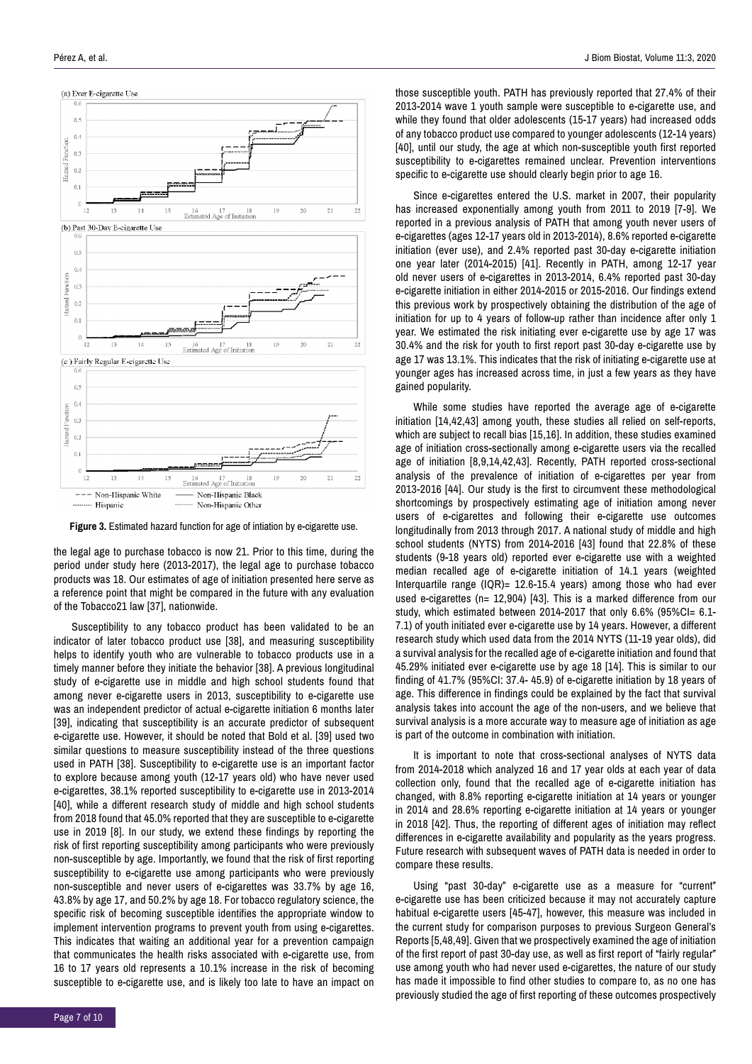

**Figure 3.** Estimated hazard function for age of intiation by e-cigarette use.

the legal age to purchase tobacco is now 21. Prior to this time, during the period under study here (2013-2017), the legal age to purchase tobacco products was 18. Our estimates of age of initiation presented here serve as a reference point that might be compared in the future with any evaluation of the Tobacco21 law [37], nationwide.

Susceptibility to any tobacco product has been validated to be an indicator of later tobacco product use [38], and measuring susceptibility helps to identify youth who are vulnerable to tobacco products use in a timely manner before they initiate the behavior [38]. A previous longitudinal study of e-cigarette use in middle and high school students found that among never e-cigarette users in 2013, susceptibility to e-cigarette use was an independent predictor of actual e-cigarette initiation 6 months later [39], indicating that susceptibility is an accurate predictor of subsequent e-cigarette use. However, it should be noted that Bold et al. [39] used two similar questions to measure susceptibility instead of the three questions used in PATH [38]. Susceptibility to e-cigarette use is an important factor to explore because among youth (12-17 years old) who have never used e-cigarettes, 38.1% reported susceptibility to e-cigarette use in 2013-2014 [40], while a different research study of middle and high school students from 2018 found that 45.0% reported that they are susceptible to e-cigarette use in 2019 [8]. In our study, we extend these findings by reporting the risk of first reporting susceptibility among participants who were previously non-susceptible by age. Importantly, we found that the risk of first reporting susceptibility to e-cigarette use among participants who were previously non-susceptible and never users of e-cigarettes was 33.7% by age 16, 43.8% by age 17, and 50.2% by age 18. For tobacco regulatory science, the specific risk of becoming susceptible identifies the appropriate window to implement intervention programs to prevent youth from using e-cigarettes. This indicates that waiting an additional year for a prevention campaign that communicates the health risks associated with e-cigarette use, from 16 to 17 years old represents a 10.1% increase in the risk of becoming susceptible to e-cigarette use, and is likely too late to have an impact on

those susceptible youth. PATH has previously reported that 27.4% of their 2013-2014 wave 1 youth sample were susceptible to e-cigarette use, and while they found that older adolescents (15-17 years) had increased odds of any tobacco product use compared to younger adolescents (12-14 years) [40], until our study, the age at which non-susceptible youth first reported susceptibility to e-cigarettes remained unclear. Prevention interventions specific to e-cigarette use should clearly begin prior to age 16.

Since e-cigarettes entered the U.S. market in 2007, their popularity has increased exponentially among youth from 2011 to 2019 [7-9]. We reported in a previous analysis of PATH that among youth never users of e-cigarettes (ages 12-17 years old in 2013-2014), 8.6% reported e-cigarette initiation (ever use), and 2.4% reported past 30-day e-cigarette initiation one year later (2014-2015) [41]. Recently in PATH, among 12-17 year old never users of e-cigarettes in 2013-2014, 6.4% reported past 30-day e-cigarette initiation in either 2014-2015 or 2015-2016. Our findings extend this previous work by prospectively obtaining the distribution of the age of initiation for up to 4 years of follow-up rather than incidence after only 1 year. We estimated the risk initiating ever e-cigarette use by age 17 was 30.4% and the risk for youth to first report past 30-day e-cigarette use by age 17 was 13.1%. This indicates that the risk of initiating e-cigarette use at younger ages has increased across time, in just a few years as they have gained popularity.

While some studies have reported the average age of e-cigarette initiation [14,42,43] among youth, these studies all relied on self-reports, which are subject to recall bias [15,16]. In addition, these studies examined age of initiation cross-sectionally among e-cigarette users via the recalled age of initiation [8,9,14,42,43]. Recently, PATH reported cross-sectional analysis of the prevalence of initiation of e-cigarettes per year from 2013-2016 [44]. Our study is the first to circumvent these methodological shortcomings by prospectively estimating age of initiation among never users of e-cigarettes and following their e-cigarette use outcomes longitudinally from 2013 through 2017. A national study of middle and high school students (NYTS) from 2014-2016 [43] found that 22.8% of these students (9-18 years old) reported ever e-cigarette use with a weighted median recalled age of e-cigarette initiation of 14.1 years (weighted Interquartile range (IQR)= 12.6-15.4 years) among those who had ever used e-cigarettes (n= 12,904) [43]. This is a marked difference from our study, which estimated between 2014-2017 that only 6.6% (95%CI= 6.1- 7.1) of youth initiated ever e-cigarette use by 14 years. However, a different research study which used data from the 2014 NYTS (11-19 year olds), did a survival analysis for the recalled age of e-cigarette initiation and found that 45.29% initiated ever e-cigarette use by age 18 [14]. This is similar to our finding of 41.7% (95%CI: 37.4- 45.9) of e-cigarette initiation by 18 years of age. This difference in findings could be explained by the fact that survival analysis takes into account the age of the non-users, and we believe that survival analysis is a more accurate way to measure age of initiation as age is part of the outcome in combination with initiation.

It is important to note that cross-sectional analyses of NYTS data from 2014-2018 which analyzed 16 and 17 year olds at each year of data collection only, found that the recalled age of e-cigarette initiation has changed, with 8.8% reporting e-cigarette initiation at 14 years or younger in 2014 and 28.6% reporting e-cigarette initiation at 14 years or younger in 2018 [42]. Thus, the reporting of different ages of initiation may reflect differences in e-cigarette availability and popularity as the years progress. Future research with subsequent waves of PATH data is needed in order to compare these results.

Using "past 30-day" e-cigarette use as a measure for "current" e-cigarette use has been criticized because it may not accurately capture habitual e-cigarette users [45-47], however, this measure was included in the current study for comparison purposes to previous Surgeon General's Reports [5,48,49]. Given that we prospectively examined the age of initiation of the first report of past 30-day use, as well as first report of "fairly regular" use among youth who had never used e-cigarettes, the nature of our study has made it impossible to find other studies to compare to, as no one has previously studied the age of first reporting of these outcomes prospectively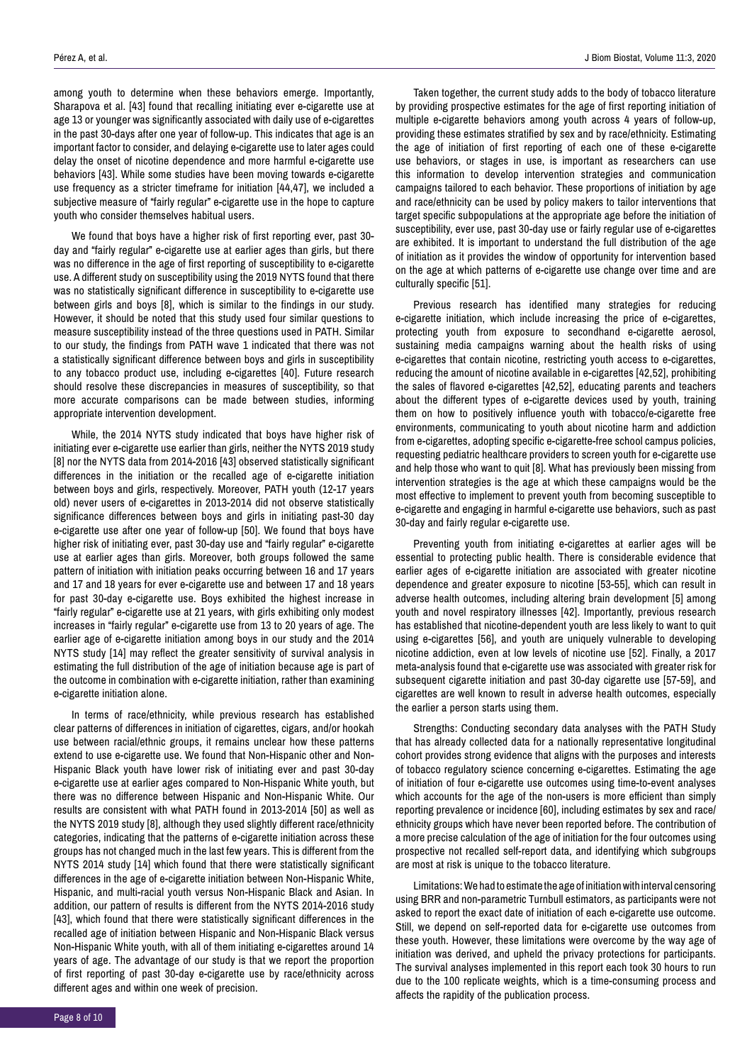among youth to determine when these behaviors emerge. Importantly, Sharapova et al. [43] found that recalling initiating ever e-cigarette use at age 13 or younger was significantly associated with daily use of e-cigarettes in the past 30-days after one year of follow-up. This indicates that age is an important factor to consider, and delaying e-cigarette use to later ages could delay the onset of nicotine dependence and more harmful e-cigarette use behaviors [43]. While some studies have been moving towards e-cigarette use frequency as a stricter timeframe for initiation [44,47], we included a subjective measure of "fairly regular" e-cigarette use in the hope to capture youth who consider themselves habitual users.

We found that boys have a higher risk of first reporting ever, past 30 day and "fairly regular" e-cigarette use at earlier ages than girls, but there was no difference in the age of first reporting of susceptibility to e-cigarette use. A different study on susceptibility using the 2019 NYTS found that there was no statistically significant difference in susceptibility to e-cigarette use between girls and boys [8], which is similar to the findings in our study. However, it should be noted that this study used four similar questions to measure susceptibility instead of the three questions used in PATH. Similar to our study, the findings from PATH wave 1 indicated that there was not a statistically significant difference between boys and girls in susceptibility to any tobacco product use, including e-cigarettes [40]. Future research should resolve these discrepancies in measures of susceptibility, so that more accurate comparisons can be made between studies, informing appropriate intervention development.

While, the 2014 NYTS study indicated that boys have higher risk of initiating ever e-cigarette use earlier than girls, neither the NYTS 2019 study [8] nor the NYTS data from 2014-2016 [43] observed statistically significant differences in the initiation or the recalled age of e-cigarette initiation between boys and girls, respectively. Moreover, PATH youth (12-17 years old) never users of e-cigarettes in 2013-2014 did not observe statistically significance differences between boys and girls in initiating past-30 day e-cigarette use after one year of follow-up [50]. We found that boys have higher risk of initiating ever, past 30-day use and "fairly regular" e-cigarette use at earlier ages than girls. Moreover, both groups followed the same pattern of initiation with initiation peaks occurring between 16 and 17 years and 17 and 18 years for ever e-cigarette use and between 17 and 18 years for past 30-day e-cigarette use. Boys exhibited the highest increase in "fairly regular" e-cigarette use at 21 years, with girls exhibiting only modest increases in "fairly regular" e-cigarette use from 13 to 20 years of age. The earlier age of e-cigarette initiation among boys in our study and the 2014 NYTS study [14] may reflect the greater sensitivity of survival analysis in estimating the full distribution of the age of initiation because age is part of the outcome in combination with e-cigarette initiation, rather than examining e-cigarette initiation alone.

In terms of race/ethnicity, while previous research has established clear patterns of differences in initiation of cigarettes, cigars, and/or hookah use between racial/ethnic groups, it remains unclear how these patterns extend to use e-cigarette use. We found that Non-Hispanic other and Non-Hispanic Black youth have lower risk of initiating ever and past 30-day e-cigarette use at earlier ages compared to Non-Hispanic White youth, but there was no difference between Hispanic and Non-Hispanic White. Our results are consistent with what PATH found in 2013-2014 [50] as well as the NYTS 2019 study [8], although they used slightly different race/ethnicity categories, indicating that the patterns of e-cigarette initiation across these groups has not changed much in the last few years. This is different from the NYTS 2014 study [14] which found that there were statistically significant differences in the age of e-cigarette initiation between Non-Hispanic White, Hispanic, and multi-racial youth versus Non-Hispanic Black and Asian. In addition, our pattern of results is different from the NYTS 2014-2016 study [43], which found that there were statistically significant differences in the recalled age of initiation between Hispanic and Non-Hispanic Black versus Non-Hispanic White youth, with all of them initiating e-cigarettes around 14 years of age. The advantage of our study is that we report the proportion of first reporting of past 30-day e-cigarette use by race/ethnicity across different ages and within one week of precision.

Taken together, the current study adds to the body of tobacco literature by providing prospective estimates for the age of first reporting initiation of multiple e-cigarette behaviors among youth across 4 years of follow-up, providing these estimates stratified by sex and by race/ethnicity. Estimating the age of initiation of first reporting of each one of these e-cigarette use behaviors, or stages in use, is important as researchers can use this information to develop intervention strategies and communication campaigns tailored to each behavior. These proportions of initiation by age and race/ethnicity can be used by policy makers to tailor interventions that target specific subpopulations at the appropriate age before the initiation of susceptibility, ever use, past 30-day use or fairly regular use of e-cigarettes are exhibited. It is important to understand the full distribution of the age of initiation as it provides the window of opportunity for intervention based on the age at which patterns of e-cigarette use change over time and are culturally specific [51].

Previous research has identified many strategies for reducing e-cigarette initiation, which include increasing the price of e-cigarettes, protecting youth from exposure to secondhand e-cigarette aerosol, sustaining media campaigns warning about the health risks of using e-cigarettes that contain nicotine, restricting youth access to e-cigarettes, reducing the amount of nicotine available in e-cigarettes [42,52], prohibiting the sales of flavored e-cigarettes [42,52], educating parents and teachers about the different types of e-cigarette devices used by youth, training them on how to positively influence youth with tobacco/e-cigarette free environments, communicating to youth about nicotine harm and addiction from e-cigarettes, adopting specific e-cigarette-free school campus policies, requesting pediatric healthcare providers to screen youth for e-cigarette use and help those who want to quit [8]. What has previously been missing from intervention strategies is the age at which these campaigns would be the most effective to implement to prevent youth from becoming susceptible to e-cigarette and engaging in harmful e-cigarette use behaviors, such as past 30-day and fairly regular e-cigarette use.

Preventing youth from initiating e-cigarettes at earlier ages will be essential to protecting public health. There is considerable evidence that earlier ages of e-cigarette initiation are associated with greater nicotine dependence and greater exposure to nicotine [53-55], which can result in adverse health outcomes, including altering brain development [5] among youth and novel respiratory illnesses [42]. Importantly, previous research has established that nicotine-dependent youth are less likely to want to quit using e-cigarettes [56], and youth are uniquely vulnerable to developing nicotine addiction, even at low levels of nicotine use [52]. Finally, a 2017 meta-analysis found that e-cigarette use was associated with greater risk for subsequent cigarette initiation and past 30-day cigarette use [57-59], and cigarettes are well known to result in adverse health outcomes, especially the earlier a person starts using them.

Strengths: Conducting secondary data analyses with the PATH Study that has already collected data for a nationally representative longitudinal cohort provides strong evidence that aligns with the purposes and interests of tobacco regulatory science concerning e-cigarettes. Estimating the age of initiation of four e-cigarette use outcomes using time-to-event analyses which accounts for the age of the non-users is more efficient than simply reporting prevalence or incidence [60], including estimates by sex and race/ ethnicity groups which have never been reported before. The contribution of a more precise calculation of the age of initiation for the four outcomes using prospective not recalled self-report data, and identifying which subgroups are most at risk is unique to the tobacco literature.

Limitations: We had to estimate the age of initiation with interval censoring using BRR and non-parametric Turnbull estimators, as participants were not asked to report the exact date of initiation of each e-cigarette use outcome. Still, we depend on self-reported data for e-cigarette use outcomes from these youth. However, these limitations were overcome by the way age of initiation was derived, and upheld the privacy protections for participants. The survival analyses implemented in this report each took 30 hours to run due to the 100 replicate weights, which is a time-consuming process and affects the rapidity of the publication process.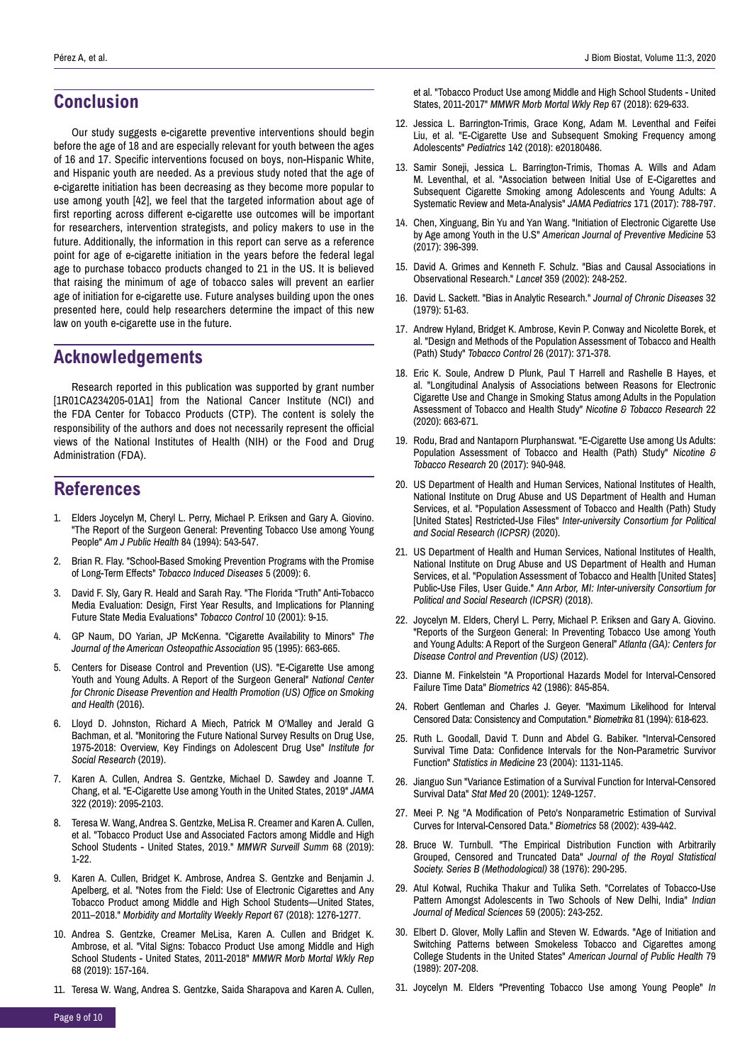## **Conclusion**

Our study suggests e-cigarette preventive interventions should begin before the age of 18 and are especially relevant for youth between the ages of 16 and 17. Specific interventions focused on boys, non-Hispanic White, and Hispanic youth are needed. As a previous study noted that the age of e-cigarette initiation has been decreasing as they become more popular to use among youth [42], we feel that the targeted information about age of first reporting across different e-cigarette use outcomes will be important for researchers, intervention strategists, and policy makers to use in the future. Additionally, the information in this report can serve as a reference point for age of e-cigarette initiation in the years before the federal legal age to purchase tobacco products changed to 21 in the US. It is believed that raising the minimum of age of tobacco sales will prevent an earlier age of initiation for e-cigarette use. Future analyses building upon the ones presented here, could help researchers determine the impact of this new law on youth e-cigarette use in the future.

# **Acknowledgements**

Research reported in this publication was supported by grant number [1R01CA234205-01A1] from the National Cancer Institute (NCI) and the FDA Center for Tobacco Products (CTP). The content is solely the responsibility of the authors and does not necessarily represent the official views of the National Institutes of Health (NIH) or the Food and Drug Administration (FDA).

# **References**

- 1. Elders Joycelyn M, Cheryl L. Perry, Michael P. Eriksen and Gary A. Giovino. "The Report of the Surgeon General: Preventing Tobacco Use among Young People" *Am J Public Health* 84 (1994): 543-547.
- 2. Brian R. Flay. "School-Based Smoking Prevention Programs with the Promise of Long-Term Effects" *Tobacco Induced Diseases* 5 (2009): 6.
- 3. David F. Sly, Gary R. Heald and Sarah Ray. "The Florida "Truth" Anti-Tobacco Media Evaluation: Design, First Year Results, and Implications for Planning Future State Media Evaluations" *Tobacco Control* 10 (2001): 9-15.
- 4. GP Naum, DO Yarian, JP McKenna. "Cigarette Availability to Minors" *The Journal of the American Osteopathic Association* 95 (1995): 663-665.
- 5. Centers for Disease Control and Prevention (US). "E-Cigarette Use among Youth and Young Adults. A Report of the Surgeon General" *National Center for Chronic Disease Prevention and Health Promotion (US) Office on Smoking and Health* (2016).
- 6. Lloyd D. Johnston, Richard A Miech, Patrick M O'Malley and Jerald G Bachman, et al. "Monitoring the Future National Survey Results on Drug Use, 1975-2018: Overview, Key Findings on Adolescent Drug Use" *Institute for Social Research* (2019).
- 7. Karen A. Cullen, Andrea S. Gentzke, Michael D. Sawdey and Joanne T. Chang, et al. "E-Cigarette Use among Youth in the United States, 2019" *JAMA* 322 (2019): 2095-2103.
- 8. Teresa W. Wang, Andrea S. Gentzke, MeLisa R. Creamer and Karen A. Cullen, et al. "Tobacco Product Use and Associated Factors among Middle and High School Students - United States, 2019." *MMWR Surveill Summ* 68 (2019): 1-22.
- 9. Karen A. Cullen, Bridget K. Ambrose, Andrea S. Gentzke and Benjamin J. Apelberg, et al. "Notes from the Field: Use of Electronic Cigarettes and Any Tobacco Product among Middle and High School Students—United States, 2011–2018." *Morbidity and Mortality Weekly Report* 67 (2018): 1276-1277.
- 10. Andrea S. Gentzke, Creamer MeLisa, Karen A. Cullen and Bridget K. Ambrose, et al. "Vital Signs: Tobacco Product Use among Middle and High School Students - United States, 2011-2018" *MMWR Morb Mortal Wkly Rep* 68 (2019): 157-164.
- 11. Teresa W. Wang, Andrea S. Gentzke, Saida Sharapova and Karen A. Cullen,

et al. "Tobacco Product Use among Middle and High School Students - United States, 2011-2017" *MMWR Morb Mortal Wkly Rep* 67 (2018): 629-633.

- 12. Jessica L. Barrington-Trimis, Grace Kong, Adam M. Leventhal and Feifei Liu, et al. "E-Cigarette Use and Subsequent Smoking Frequency among Adolescents" *Pediatrics* 142 (2018): e20180486.
- 13. Samir Soneji, Jessica L. Barrington-Trimis, Thomas A. Wills and Adam M. Leventhal, et al. "Association between Initial Use of E-Cigarettes and Subsequent Cigarette Smoking among Adolescents and Young Adults: A Systematic Review and Meta-Analysis" *JAMA Pediatrics* 171 (2017): 788-797.
- 14. Chen, Xinguang, Bin Yu and Yan Wang. "Initiation of Electronic Cigarette Use by Age among Youth in the U.S" *American Journal of Preventive Medicine* 53 (2017): 396-399.
- 15. David A. Grimes and Kenneth F. Schulz. "Bias and Causal Associations in Observational Research." *Lancet* 359 (2002): 248-252.
- 16. David L. Sackett. "Bias in Analytic Research." *Journal of Chronic Diseases* 32 (1979): 51-63.
- 17. Andrew Hyland, Bridget K. Ambrose, Kevin P. Conway and Nicolette Borek, et al. "Design and Methods of the Population Assessment of Tobacco and Health (Path) Study" *Tobacco Control* 26 (2017): 371-378.
- 18. Eric K. Soule, Andrew D Plunk, Paul T Harrell and Rashelle B Hayes, et al. "Longitudinal Analysis of Associations between Reasons for Electronic Cigarette Use and Change in Smoking Status among Adults in the Population Assessment of Tobacco and Health Study" *Nicotine & Tobacco Research* 22 (2020): 663-671.
- 19. Rodu, Brad and Nantaporn Plurphanswat. "E-Cigarette Use among Us Adults: Population Assessment of Tobacco and Health (Path) Study" *Nicotine & Tobacco Research* 20 (2017): 940-948.
- 20. US Department of Health and Human Services, National Institutes of Health, National Institute on Drug Abuse and US Department of Health and Human Services, et al. "Population Assessment of Tobacco and Health (Path) Study [United States] Restricted-Use Files" *Inter-university Consortium for Political and Social Research (ICPSR)* (2020).
- 21. US Department of Health and Human Services, National Institutes of Health, National Institute on Drug Abuse and US Department of Health and Human Services, et al. "Population Assessment of Tobacco and Health [United States] Public-Use Files, User Guide." *Ann Arbor, MI: Inter-university Consortium for Political and Social Research (ICPSR)* (2018).
- 22. Joycelyn M. Elders, Cheryl L. Perry, Michael P. Eriksen and Gary A. Giovino. "Reports of the Surgeon General: In Preventing Tobacco Use among Youth and Young Adults: A Report of the Surgeon General" *Atlanta (GA): Centers for Disease Control and Prevention (US)* (2012).
- 23. Dianne M. Finkelstein "A Proportional Hazards Model for Interval-Censored Failure Time Data" *Biometrics* 42 (1986): 845-854.
- 24. Robert Gentleman and Charles J. Geyer. "Maximum Likelihood for Interval Censored Data: Consistency and Computation." *Biometrika* 81 (1994): 618-623.
- 25. Ruth L. Goodall, David T. Dunn and Abdel G. Babiker. "Interval-Censored Survival Time Data: Confidence Intervals for the Non-Parametric Survivor Function" *Statistics in Medicine* 23 (2004): 1131-1145.
- 26. Jianguo Sun "Variance Estimation of a Survival Function for Interval-Censored Survival Data" *Stat Med* 20 (2001): 1249-1257.
- 27. Meei P. Ng "A Modification of Peto's Nonparametric Estimation of Survival Curves for Interval-Censored Data." *Biometrics* 58 (2002): 439-442.
- 28. Bruce W. Turnbull. "The Empirical Distribution Function with Arbitrarily Grouped, Censored and Truncated Data" *Journal of the Royal Statistical Society. Series B (Methodological)* 38 (1976): 290-295.
- 29. Atul Kotwal, Ruchika Thakur and Tulika Seth. "Correlates of Tobacco-Use Pattern Amongst Adolescents in Two Schools of New Delhi, India" *Indian Journal of Medical Sciences* 59 (2005): 243-252.
- 30. Elbert D. Glover, Molly Laflin and Steven W. Edwards. "Age of Initiation and Switching Patterns between Smokeless Tobacco and Cigarettes among College Students in the United States" *American Journal of Public Health* 79 (1989): 207-208.
- 31. Joycelyn M. Elders "Preventing Tobacco Use among Young People" *In*